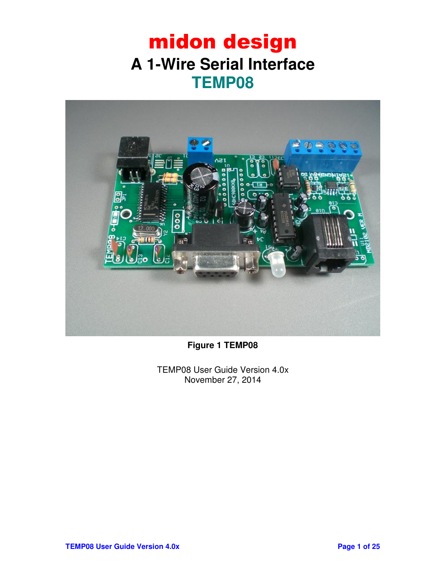## midon design **A 1-Wire Serial Interface TEMP08**



**Figure 1 TEMP08** 

TEMP08 User Guide Version 4.0x November 27, 2014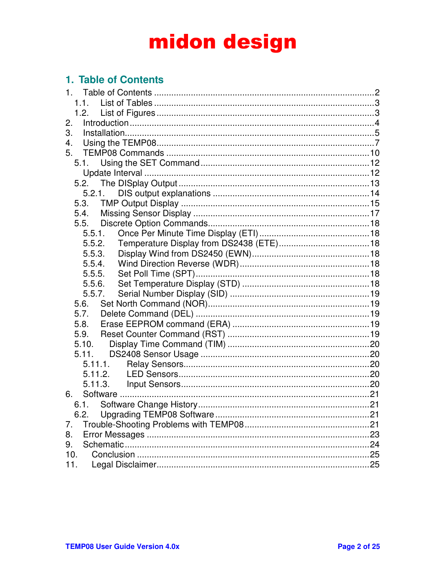## 1. Table of Contents

| 1.      |  |
|---------|--|
| 1.1.    |  |
|         |  |
| 2.      |  |
| 3.      |  |
| 4.      |  |
| 5.      |  |
| 5.1.    |  |
|         |  |
|         |  |
| 5.2.1.  |  |
| 5.3.    |  |
| 5.4.    |  |
| 5.5.    |  |
| 5.5.1.  |  |
| 5.5.2.  |  |
| 5.5.3.  |  |
| 5.5.4.  |  |
| 5.5.5.  |  |
| 5.5.6.  |  |
| 5.5.7.  |  |
|         |  |
| 5.7.    |  |
| 5.8.    |  |
| 5.9.    |  |
| 5.10.   |  |
| 5.11.   |  |
| 5.11.1. |  |
| 5.11.2. |  |
|         |  |
| 6.      |  |
|         |  |
|         |  |
| 7.      |  |
| 8.      |  |
| 9.      |  |
| 10.     |  |
| 11.     |  |
|         |  |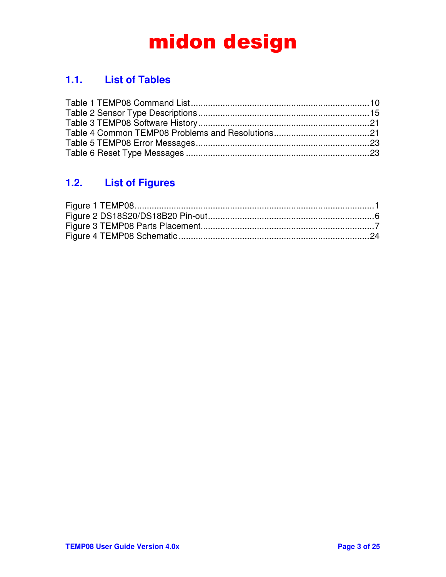## **1.1. List of Tables**

## **1.2. List of Figures**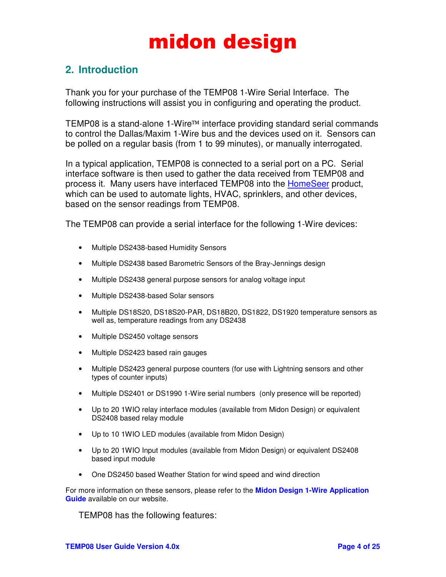### **2. Introduction**

Thank you for your purchase of the TEMP08 1-Wire Serial Interface. The following instructions will assist you in configuring and operating the product.

TEMP08 is a stand-alone 1-Wire™ interface providing standard serial commands to control the Dallas/Maxim 1-Wire bus and the devices used on it. Sensors can be polled on a regular basis (from 1 to 99 minutes), or manually interrogated.

In a typical application, TEMP08 is connected to a serial port on a PC. Serial interface software is then used to gather the data received from TEMP08 and process it. Many users have interfaced TEMP08 into the HomeSeer product, which can be used to automate lights, HVAC, sprinklers, and other devices, based on the sensor readings from TEMP08.

The TEMP08 can provide a serial interface for the following 1-Wire devices:

- Multiple DS2438-based Humidity Sensors
- Multiple DS2438 based Barometric Sensors of the Bray-Jennings design
- Multiple DS2438 general purpose sensors for analog voltage input
- Multiple DS2438-based Solar sensors
- Multiple DS18S20, DS18S20-PAR, DS18B20, DS1822, DS1920 temperature sensors as well as, temperature readings from any DS2438
- Multiple DS2450 voltage sensors
- Multiple DS2423 based rain gauges
- Multiple DS2423 general purpose counters (for use with Lightning sensors and other types of counter inputs)
- Multiple DS2401 or DS1990 1-Wire serial numbers (only presence will be reported)
- Up to 20 1WIO relay interface modules (available from Midon Design) or equivalent DS2408 based relay module
- Up to 10 1WIO LED modules (available from Midon Design)
- Up to 20 1WIO Input modules (available from Midon Design) or equivalent DS2408 based input module
- One DS2450 based Weather Station for wind speed and wind direction

For more information on these sensors, please refer to the **Midon Design 1-Wire Application Guide** available on our website.

TEMP08 has the following features: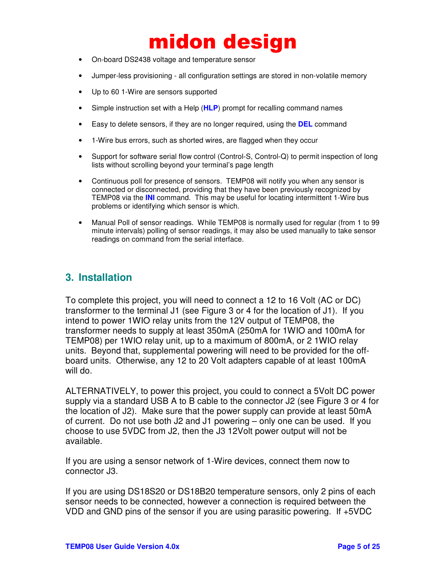- On-board DS2438 voltage and temperature sensor
- Jumper-less provisioning all configuration settings are stored in non-volatile memory
- Up to 60 1-Wire are sensors supported
- Simple instruction set with a Help (**HLP**) prompt for recalling command names
- Easy to delete sensors, if they are no longer required, using the **DEL** command
- 1-Wire bus errors, such as shorted wires, are flagged when they occur
- Support for software serial flow control (Control-S, Control-Q) to permit inspection of long lists without scrolling beyond your terminal's page length
- Continuous poll for presence of sensors. TEMP08 will notify you when any sensor is connected or disconnected, providing that they have been previously recognized by TEMP08 via the **INI** command. This may be useful for locating intermittent 1-Wire bus problems or identifying which sensor is which.
- Manual Poll of sensor readings. While TEMP08 is normally used for regular (from 1 to 99 minute intervals) polling of sensor readings, it may also be used manually to take sensor readings on command from the serial interface.

### **3. Installation**

To complete this project, you will need to connect a 12 to 16 Volt (AC or DC) transformer to the terminal J1 (see Figure 3 or 4 for the location of J1). If you intend to power 1WIO relay units from the 12V output of TEMP08, the transformer needs to supply at least 350mA (250mA for 1WIO and 100mA for TEMP08) per 1WIO relay unit, up to a maximum of 800mA, or 2 1WIO relay units. Beyond that, supplemental powering will need to be provided for the offboard units. Otherwise, any 12 to 20 Volt adapters capable of at least 100mA will do.

ALTERNATIVELY, to power this project, you could to connect a 5Volt DC power supply via a standard USB A to B cable to the connector J2 (see Figure 3 or 4 for the location of J2). Make sure that the power supply can provide at least 50mA of current. Do not use both J2 and J1 powering – only one can be used. If you choose to use 5VDC from J2, then the J3 12Volt power output will not be available.

If you are using a sensor network of 1-Wire devices, connect them now to connector J3.

If you are using DS18S20 or DS18B20 temperature sensors, only 2 pins of each sensor needs to be connected, however a connection is required between the VDD and GND pins of the sensor if you are using parasitic powering. If +5VDC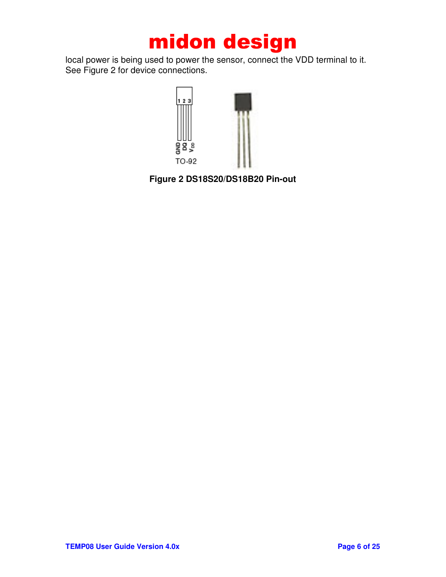local power is being used to power the sensor, connect the VDD terminal to it. See Figure 2 for device connections.



**Figure 2 DS18S20/DS18B20 Pin-out**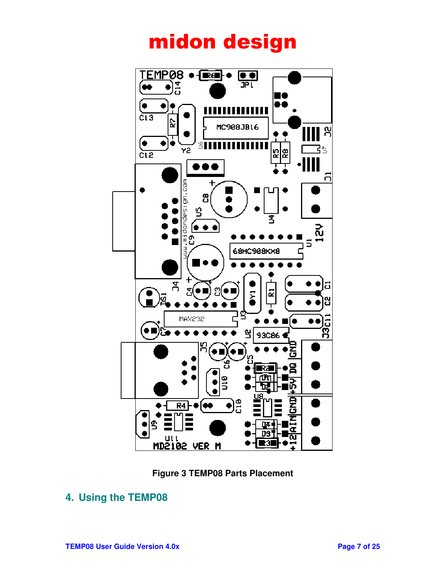



### **4. Using the TEMP08**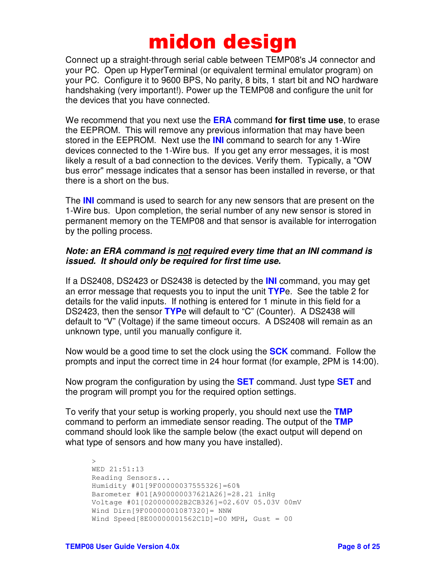Connect up a straight-through serial cable between TEMP08's J4 connector and your PC. Open up HyperTerminal (or equivalent terminal emulator program) on your PC. Configure it to 9600 BPS, No parity, 8 bits, 1 start bit and NO hardware handshaking (very important!). Power up the TEMP08 and configure the unit for the devices that you have connected.

We recommend that you next use the **ERA** command **for first time use**, to erase the EEPROM. This will remove any previous information that may have been stored in the EEPROM. Next use the **INI** command to search for any 1-Wire devices connected to the 1-Wire bus. If you get any error messages, it is most likely a result of a bad connection to the devices. Verify them. Typically, a "OW bus error" message indicates that a sensor has been installed in reverse, or that there is a short on the bus.

The **INI** command is used to search for any new sensors that are present on the 1-Wire bus. Upon completion, the serial number of any new sensor is stored in permanent memory on the TEMP08 and that sensor is available for interrogation by the polling process.

#### *Note: an ERA command is not required every time that an INI command is issued. It should only be required for first time use.*

If a DS2408, DS2423 or DS2438 is detected by the **INI** command, you may get an error message that requests you to input the unit **TYP**e. See the table 2 for details for the valid inputs. If nothing is entered for 1 minute in this field for a DS2423, then the sensor **TYP**e will default to "C" (Counter). A DS2438 will default to "V" (Voltage) if the same timeout occurs. A DS2408 will remain as an unknown type, until you manually configure it.

Now would be a good time to set the clock using the **SCK** command. Follow the prompts and input the correct time in 24 hour format (for example, 2PM is 14:00).

Now program the configuration by using the **SET** command. Just type **SET** and the program will prompt you for the required option settings.

To verify that your setup is working properly, you should next use the **TMP** command to perform an immediate sensor reading. The output of the **TMP** command should look like the sample below (the exact output will depend on what type of sensors and how many you have installed).

```
>WED 21:51:13 
Reading Sensors... 
Humidity #01[9F00000037555326]=60% 
Barometer #01[A900000037621A26]=28.21 inHg 
Voltage #01[020000002B2CB326]=02.60V 05.03V 00mV 
Wind Dirn[9F00000001087320]= NNW 
Wind Speed[8E00000001562C1D]=00 MPH, Gust = 00
```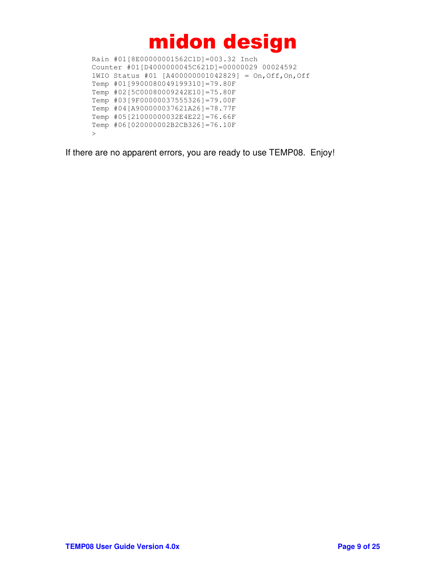Rain #01[8E00000001562C1D]=003.32 Inch Counter #01[D4000000045C621D]=00000029 00024592 1WIO Status #01 [A400000001042829] = On,Off,On,Off Temp #01[9900080049199310]=79.80F Temp #02[5C00080009242E10]=75.80F Temp #03[9F00000037555326]=79.00F Temp #04[A900000037621A26]=78.77F Temp #05[21000000032E4E22]=76.66F Temp #06[020000002B2CB326]=76.10F >

If there are no apparent errors, you are ready to use TEMP08. Enjoy!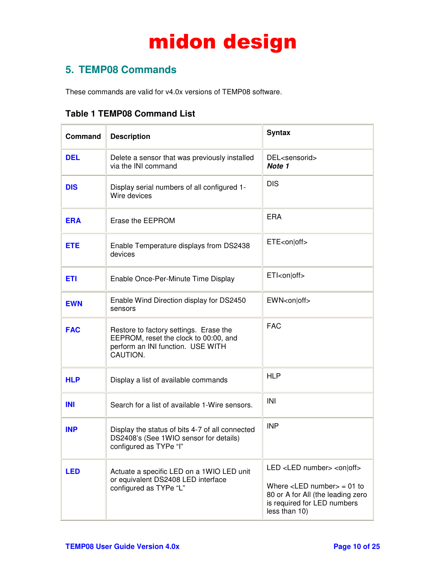## **5. TEMP08 Commands**

These commands are valid for v4.0x versions of TEMP08 software.

|  |  | <b>Table 1 TEMP08 Command List</b> |  |
|--|--|------------------------------------|--|
|--|--|------------------------------------|--|

| Command    | <b>Description</b>                                                                                                               | <b>Syntax</b>                                                                                                                                                                                     |
|------------|----------------------------------------------------------------------------------------------------------------------------------|---------------------------------------------------------------------------------------------------------------------------------------------------------------------------------------------------|
| <b>DEL</b> | Delete a sensor that was previously installed<br>via the INI command                                                             | DEL <sensorid><br/>Note 1</sensorid>                                                                                                                                                              |
| <b>DIS</b> | Display serial numbers of all configured 1-<br>Wire devices                                                                      | <b>DIS</b>                                                                                                                                                                                        |
| <b>ERA</b> | Erase the EEPROM                                                                                                                 | <b>ERA</b>                                                                                                                                                                                        |
| <b>ETE</b> | Enable Temperature displays from DS2438<br>devices                                                                               | ETE <on off></on off>                                                                                                                                                                             |
| <b>ETI</b> | Enable Once-Per-Minute Time Display                                                                                              | ETI <on off></on off>                                                                                                                                                                             |
| <b>EWN</b> | Enable Wind Direction display for DS2450<br>sensors                                                                              | EWN <on off></on off>                                                                                                                                                                             |
| <b>FAC</b> | Restore to factory settings. Erase the<br>EEPROM, reset the clock to 00:00, and<br>perform an INI function. USE WITH<br>CAUTION. | <b>FAC</b>                                                                                                                                                                                        |
| <b>HLP</b> | Display a list of available commands                                                                                             | <b>HLP</b>                                                                                                                                                                                        |
| <b>INI</b> | Search for a list of available 1-Wire sensors.                                                                                   | INI                                                                                                                                                                                               |
| <b>INP</b> | Display the status of bits 4-7 of all connected<br>DS2408's (See 1WIO sensor for details)<br>configured as TYPe "I"              | <b>INP</b>                                                                                                                                                                                        |
| <b>LED</b> | Actuate a specific LED on a 1WIO LED unit<br>or equivalent DS2408 LED interface<br>configured as TYPe "L"                        | LED <led number=""> <on off><br/>Where <math>\le</math>LED number<math>&gt;</math> = 01 to<br/>80 or A for All (the leading zero<br/>is required for LED numbers<br/>less than 10)</on off></led> |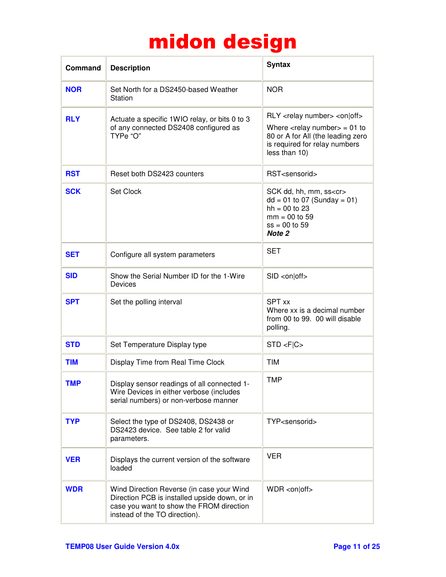| Command    | <b>Description</b>                                                                                                                                                      | <b>Syntax</b>                                                                                                                                                                                                 |
|------------|-------------------------------------------------------------------------------------------------------------------------------------------------------------------------|---------------------------------------------------------------------------------------------------------------------------------------------------------------------------------------------------------------|
| <b>NOR</b> | Set North for a DS2450-based Weather<br>Station                                                                                                                         | <b>NOR</b>                                                                                                                                                                                                    |
| <b>RLY</b> | Actuate a specific 1WIO relay, or bits 0 to 3<br>of any connected DS2408 configured as<br>TYPe "O"                                                                      | RLY <relay number=""> <on off><br/>Where <math>\langle</math>relay number<math>&gt;</math> = 01 to<br/>80 or A for All (the leading zero<br/>is required for relay numbers<br/>less than 10)</on off></relay> |
| <b>RST</b> | Reset both DS2423 counters                                                                                                                                              | RST <sensorid></sensorid>                                                                                                                                                                                     |
| <b>SCK</b> | Set Clock                                                                                                                                                               | SCK dd, hh, mm, ss <cr><br/><math>dd = 01</math> to 07 (Sunday = 01)<br/><math>hh = 00</math> to 23<br/><math>mm = 00</math> to 59<br/><math>ss = 00</math> to 59<br/>Note 2</cr>                             |
| <b>SET</b> | Configure all system parameters                                                                                                                                         | <b>SET</b>                                                                                                                                                                                                    |
| <b>SID</b> | Show the Serial Number ID for the 1-Wire<br>Devices                                                                                                                     | SID < on Off>                                                                                                                                                                                                 |
| <b>SPT</b> | Set the polling interval                                                                                                                                                | <b>SPT xx</b><br>Where xx is a decimal number<br>from 00 to 99. 00 will disable<br>polling.                                                                                                                   |
| <b>STD</b> | Set Temperature Display type                                                                                                                                            | STD < F C                                                                                                                                                                                                     |
| <b>TIM</b> | Display Time from Real Time Clock                                                                                                                                       | <b>TIM</b>                                                                                                                                                                                                    |
| TMP        | Display sensor readings of all connected 1-<br>Wire Devices in either verbose (includes<br>serial numbers) or non-verbose manner                                        | <b>TMP</b>                                                                                                                                                                                                    |
| <b>TYP</b> | Select the type of DS2408, DS2438 or<br>DS2423 device. See table 2 for valid<br>parameters.                                                                             | TYP <sensorid></sensorid>                                                                                                                                                                                     |
| <b>VER</b> | Displays the current version of the software<br>loaded                                                                                                                  | <b>VER</b>                                                                                                                                                                                                    |
| <b>WDR</b> | Wind Direction Reverse (in case your Wind<br>Direction PCB is installed upside down, or in<br>case you want to show the FROM direction<br>instead of the TO direction). | $WDR < 0$ n off>                                                                                                                                                                                              |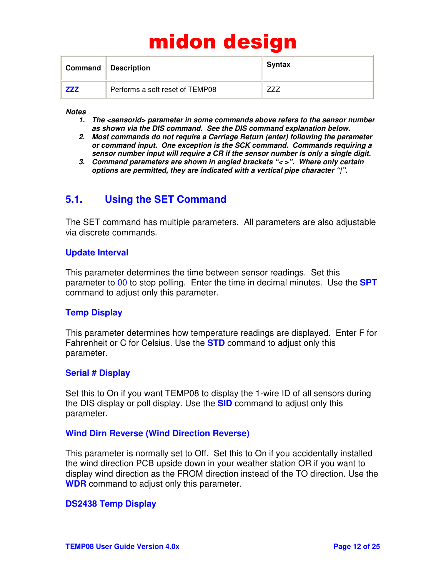|            | Command Description             | <b>Syntax</b> |
|------------|---------------------------------|---------------|
| <b>ZZZ</b> | Performs a soft reset of TEMP08 |               |

*Notes* 

- *1. The <sensorid> parameter in some commands above refers to the sensor number as shown via the DIS command. See the DIS command explanation below.*
- *2. Most commands do not require a Carriage Return (enter) following the parameter or command input. One exception is the SCK command. Commands requiring a sensor number input will require a CR if the sensor number is only a single digit.*
- *3. Command parameters are shown in angled brackets "< >". Where only certain options are permitted, they are indicated with a vertical pipe character "|".*

### **5.1. Using the SET Command**

The SET command has multiple parameters. All parameters are also adjustable via discrete commands.

#### **Update Interval**

This parameter determines the time between sensor readings. Set this parameter to 00 to stop polling. Enter the time in decimal minutes. Use the **SPT** command to adjust only this parameter.

#### **Temp Display**

This parameter determines how temperature readings are displayed. Enter F for Fahrenheit or C for Celsius. Use the **STD** command to adjust only this parameter.

#### **Serial # Display**

Set this to On if you want TEMP08 to display the 1-wire ID of all sensors during the DIS display or poll display. Use the **SID** command to adjust only this parameter.

#### **Wind Dirn Reverse (Wind Direction Reverse)**

This parameter is normally set to Off. Set this to On if you accidentally installed the wind direction PCB upside down in your weather station OR if you want to display wind direction as the FROM direction instead of the TO direction. Use the **WDR** command to adjust only this parameter.

#### **DS2438 Temp Display**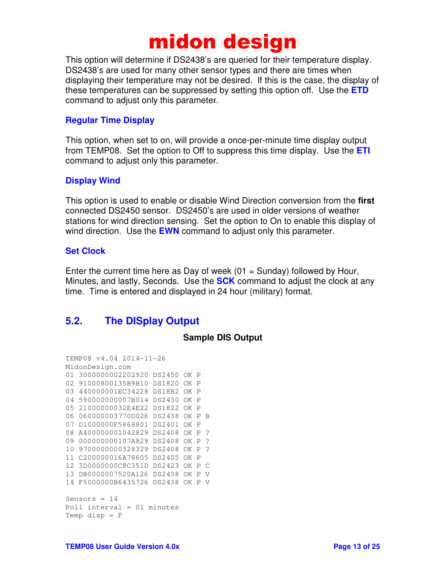This option will determine if DS2438's are queried for their temperature display. DS2438's are used for many other sensor types and there are times when displaying their temperature may not be desired. If this is the case, the display of these temperatures can be suppressed by setting this option off. Use the **ETD** command to adjust only this parameter.

#### **Regular Time Display**

This option, when set to on, will provide a once-per-minute time display output from TEMP08. Set the option to Off to suppress this time display. Use the **ETI** command to adjust only this parameter.

#### **Display Wind**

This option is used to enable or disable Wind Direction conversion from the **first** connected DS2450 sensor. DS2450's are used in older versions of weather stations for wind direction sensing. Set the option to On to enable this display of wind direction. Use the **EWN** command to adjust only this parameter.

#### **Set Clock**

Enter the current time here as Day of week  $(01 =$  Sunday) followed by Hour, Minutes, and lastly, Seconds. Use the **SCK** command to adjust the clock at any time. Time is entered and displayed in 24 hour (military) format.

### **5.2. The DISplay Output**

#### **Sample DIS Output**

```
TEMP08 v4.04 2014-11-26 
MidonDesign.com 
01 3000000002202920 DS2450 OK P 
02 91000800135B9B10 DS1820 OK P 
03 440000001EC34228 DS18B2 OK P 
04 590000000007B014 DS2430 OK P 
05 21000000032E4E22 DS1822 OK P 
06 060000003770D026 DS2438 OK P B 
07 D1000000F5868801 DS2401 OK P 
08 A400000001042829 DS2408 OK P ? 
09 000000000107A829 DS2408 OK P ? 
10 9700000000328329 DS2408 OK P ? 
11 C200000016A78605 DS2405 OK P 
12 3D0000000C8C351D DS2423 OK P C 
13 DB0000007520A126 DS2438 OK P V 
14 F5000000B6435726 DS2438 OK P V 
Sensors = 14Poll interval = 01 minutes 
Temp disp = F
```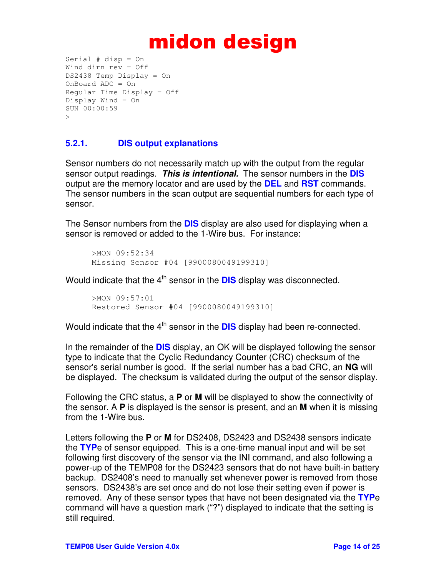```
Serial # disp = On 
Wind dirn rev = Off 
DS2438 Temp Display = On 
OnBoard ADC = On 
Regular Time Display = Off 
Display Wind = On 
SUN 00:00:59 
>
```
#### **5.2.1. DIS output explanations**

Sensor numbers do not necessarily match up with the output from the regular sensor output readings. *This is intentional.* The sensor numbers in the **DIS** output are the memory locator and are used by the **DEL** and **RST** commands. The sensor numbers in the scan output are sequential numbers for each type of sensor.

The Sensor numbers from the **DIS** display are also used for displaying when a sensor is removed or added to the 1-Wire bus. For instance:

```
>MON 09:52:34 
Missing Sensor #04 [9900080049199310]
```
Would indicate that the 4<sup>th</sup> sensor in the **DIS** display was disconnected.

>MON 09:57:01 Restored Sensor #04 [9900080049199310]

Would indicate that the 4<sup>th</sup> sensor in the **DIS** display had been re-connected.

In the remainder of the **DIS** display, an OK will be displayed following the sensor type to indicate that the Cyclic Redundancy Counter (CRC) checksum of the sensor's serial number is good. If the serial number has a bad CRC, an **NG** will be displayed. The checksum is validated during the output of the sensor display.

Following the CRC status, a **P** or **M** will be displayed to show the connectivity of the sensor. A **P** is displayed is the sensor is present, and an **M** when it is missing from the 1-Wire bus.

Letters following the **P** or **M** for DS2408, DS2423 and DS2438 sensors indicate the **TYP**e of sensor equipped. This is a one-time manual input and will be set following first discovery of the sensor via the INI command, and also following a power-up of the TEMP08 for the DS2423 sensors that do not have built-in battery backup. DS2408's need to manually set whenever power is removed from those sensors. DS2438's are set once and do not lose their setting even if power is removed. Any of these sensor types that have not been designated via the **TYP**e command will have a question mark ("?") displayed to indicate that the setting is still required.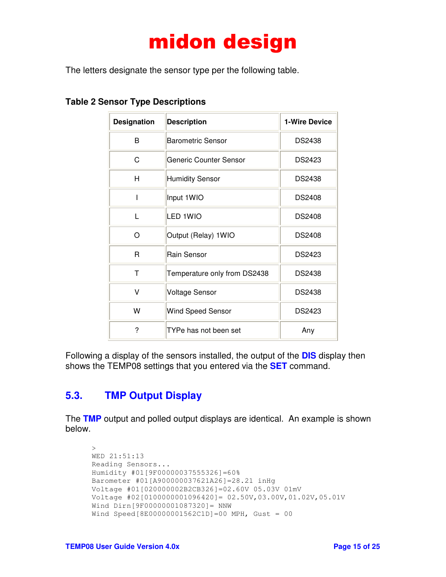The letters designate the sensor type per the following table.

| <b>Designation</b> | <b>Description</b>           | <b>1-Wire Device</b> |
|--------------------|------------------------------|----------------------|
| B                  | <b>Barometric Sensor</b>     | <b>DS2438</b>        |
| C                  | Generic Counter Sensor       | DS2423               |
| н                  | <b>Humidity Sensor</b>       | <b>DS2438</b>        |
|                    | Input 1WIO                   | <b>DS2408</b>        |
| L                  | LED 1WIO                     | <b>DS2408</b>        |
| O                  | Output (Relay) 1WIO          | <b>DS2408</b>        |
| R                  | Rain Sensor                  | DS2423               |
| т                  | Temperature only from DS2438 | <b>DS2438</b>        |
| V                  | <b>Voltage Sensor</b>        | <b>DS2438</b>        |
| W                  | Wind Speed Sensor            | DS2423               |
| ?                  | TYPe has not been set        | Any                  |

**Table 2 Sensor Type Descriptions** 

Following a display of the sensors installed, the output of the **DIS** display then shows the TEMP08 settings that you entered via the **SET** command.

## **5.3. TMP Output Display**

The **TMP** output and polled output displays are identical. An example is shown below.

```
> 
WED 21:51:13 
Reading Sensors... 
Humidity #01[9F00000037555326]=60% 
Barometer #01[A900000037621A26]=28.21 inHg 
Voltage #01[020000002B2CB326]=02.60V 05.03V 01mV 
Voltage #02[0100000001096420]= 02.50V,03.00V,01.02V,05.01V 
Wind Dirn[9F00000001087320]= NNW 
Wind Speed[8E00000001562C1D]=00 MPH, Gust = 00
```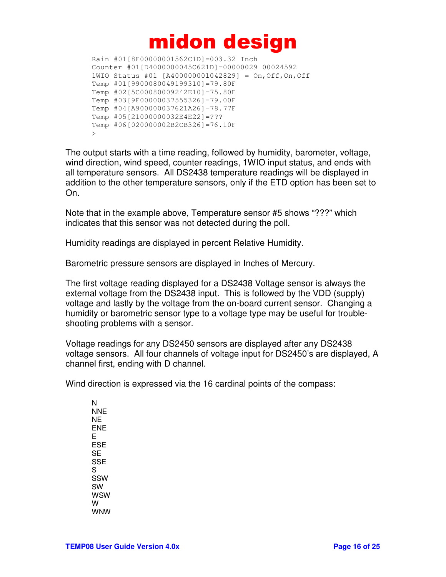Rain #01[8E00000001562C1D]=003.32 Inch Counter #01[D4000000045C621D]=00000029 00024592 1WIO Status #01 [A400000001042829] = On,Off,On,Off Temp #01[9900080049199310]=79.80F Temp #02[5C00080009242E10]=75.80F Temp #03[9F00000037555326]=79.00F Temp #04[A900000037621A26]=78.77F Temp #05[21000000032E4E22]=??? Temp #06[020000002B2CB326]=76.10F  $\rightarrow$ 

The output starts with a time reading, followed by humidity, barometer, voltage, wind direction, wind speed, counter readings, 1WIO input status, and ends with all temperature sensors. All DS2438 temperature readings will be displayed in addition to the other temperature sensors, only if the ETD option has been set to On.

Note that in the example above, Temperature sensor #5 shows "???" which indicates that this sensor was not detected during the poll.

Humidity readings are displayed in percent Relative Humidity.

Barometric pressure sensors are displayed in Inches of Mercury.

The first voltage reading displayed for a DS2438 Voltage sensor is always the external voltage from the DS2438 input. This is followed by the VDD (supply) voltage and lastly by the voltage from the on-board current sensor. Changing a humidity or barometric sensor type to a voltage type may be useful for troubleshooting problems with a sensor.

Voltage readings for any DS2450 sensors are displayed after any DS2438 voltage sensors. All four channels of voltage input for DS2450's are displayed, A channel first, ending with D channel.

Wind direction is expressed via the 16 cardinal points of the compass:

N NNE NE ENE E ESE SE **SSE** S SSW SW WSW W WNW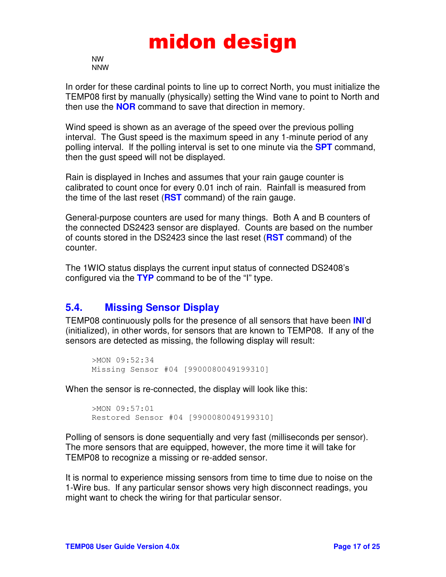NW NNW

In order for these cardinal points to line up to correct North, you must initialize the TEMP08 first by manually (physically) setting the Wind vane to point to North and then use the **NOR** command to save that direction in memory.

Wind speed is shown as an average of the speed over the previous polling interval. The Gust speed is the maximum speed in any 1-minute period of any polling interval. If the polling interval is set to one minute via the **SPT** command, then the gust speed will not be displayed.

Rain is displayed in Inches and assumes that your rain gauge counter is calibrated to count once for every 0.01 inch of rain. Rainfall is measured from the time of the last reset (**RST** command) of the rain gauge.

General-purpose counters are used for many things. Both A and B counters of the connected DS2423 sensor are displayed. Counts are based on the number of counts stored in the DS2423 since the last reset (**RST** command) of the counter.

The 1WIO status displays the current input status of connected DS2408's configured via the **TYP** command to be of the "I" type.

### **5.4. Missing Sensor Display**

TEMP08 continuously polls for the presence of all sensors that have been **INI**'d (initialized), in other words, for sensors that are known to TEMP08. If any of the sensors are detected as missing, the following display will result:

```
>MON 09:52:34 
Missing Sensor #04 [9900080049199310]
```
When the sensor is re-connected, the display will look like this:

>MON 09:57:01 Restored Sensor #04 [9900080049199310]

Polling of sensors is done sequentially and very fast (milliseconds per sensor). The more sensors that are equipped, however, the more time it will take for TEMP08 to recognize a missing or re-added sensor.

It is normal to experience missing sensors from time to time due to noise on the 1-Wire bus. If any particular sensor shows very high disconnect readings, you might want to check the wiring for that particular sensor.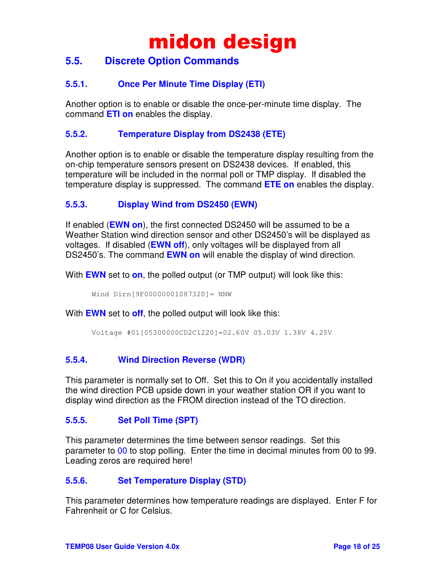### **5.5. Discrete Option Commands**

#### **5.5.1. Once Per Minute Time Display (ETI)**

Another option is to enable or disable the once-per-minute time display. The command **ETI on** enables the display.

#### **5.5.2. Temperature Display from DS2438 (ETE)**

Another option is to enable or disable the temperature display resulting from the on-chip temperature sensors present on DS2438 devices. If enabled, this temperature will be included in the normal poll or TMP display. If disabled the temperature display is suppressed. The command **ETE on** enables the display.

#### **5.5.3. Display Wind from DS2450 (EWN)**

If enabled (**EWN on**), the first connected DS2450 will be assumed to be a Weather Station wind direction sensor and other DS2450's will be displayed as voltages. If disabled (**EWN off**), only voltages will be displayed from all DS2450's. The command **EWN on** will enable the display of wind direction.

With **EWN** set to **on**, the polled output (or TMP output) will look like this:

Wind Dirn[9F00000001087320]= NNW

With **EWN** set to **off**, the polled output will look like this:

```
Voltage #01[05300000CD2C1220]=02.60V 05.03V 1.38V 4.25V
```
#### **5.5.4. Wind Direction Reverse (WDR)**

This parameter is normally set to Off. Set this to On if you accidentally installed the wind direction PCB upside down in your weather station OR if you want to display wind direction as the FROM direction instead of the TO direction.

#### **5.5.5. Set Poll Time (SPT)**

This parameter determines the time between sensor readings. Set this parameter to 00 to stop polling. Enter the time in decimal minutes from 00 to 99. Leading zeros are required here!

#### **5.5.6. Set Temperature Display (STD)**

This parameter determines how temperature readings are displayed. Enter F for Fahrenheit or C for Celsius.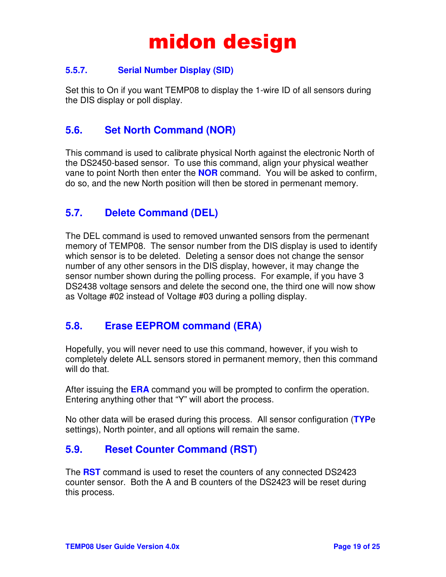#### **5.5.7. Serial Number Display (SID)**

Set this to On if you want TEMP08 to display the 1-wire ID of all sensors during the DIS display or poll display.

### **5.6. Set North Command (NOR)**

This command is used to calibrate physical North against the electronic North of the DS2450-based sensor. To use this command, align your physical weather vane to point North then enter the **NOR** command. You will be asked to confirm, do so, and the new North position will then be stored in permenant memory.

## **5.7. Delete Command (DEL)**

The DEL command is used to removed unwanted sensors from the permenant memory of TEMP08. The sensor number from the DIS display is used to identify which sensor is to be deleted. Deleting a sensor does not change the sensor number of any other sensors in the DIS display, however, it may change the sensor number shown during the polling process. For example, if you have 3 DS2438 voltage sensors and delete the second one, the third one will now show as Voltage #02 instead of Voltage #03 during a polling display.

### **5.8. Erase EEPROM command (ERA)**

Hopefully, you will never need to use this command, however, if you wish to completely delete ALL sensors stored in permanent memory, then this command will do that.

After issuing the **ERA** command you will be prompted to confirm the operation. Entering anything other that "Y" will abort the process.

No other data will be erased during this process. All sensor configuration (**TYP**e settings), North pointer, and all options will remain the same.

### **5.9. Reset Counter Command (RST)**

The **RST** command is used to reset the counters of any connected DS2423 counter sensor. Both the A and B counters of the DS2423 will be reset during this process.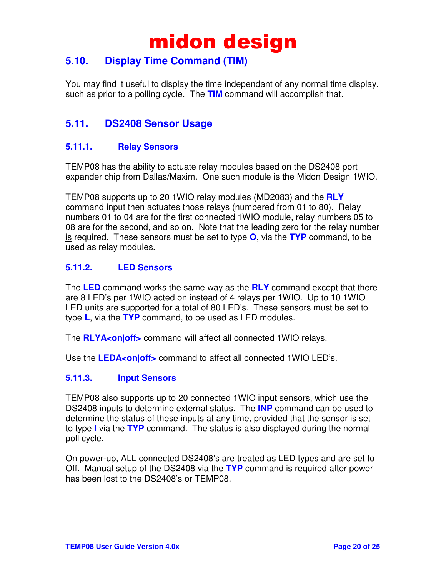### **5.10. Display Time Command (TIM)**

You may find it useful to display the time independant of any normal time display, such as prior to a polling cycle. The **TIM** command will accomplish that.

## **5.11. DS2408 Sensor Usage**

#### **5.11.1. Relay Sensors**

TEMP08 has the ability to actuate relay modules based on the DS2408 port expander chip from Dallas/Maxim. One such module is the Midon Design 1WIO.

TEMP08 supports up to 20 1WIO relay modules (MD2083) and the **RLY** command input then actuates those relays (numbered from 01 to 80). Relay numbers 01 to 04 are for the first connected 1WIO module, relay numbers 05 to 08 are for the second, and so on. Note that the leading zero for the relay number is required. These sensors must be set to type **O**, via the **TYP** command, to be used as relay modules.

#### **5.11.2. LED Sensors**

The **LED** command works the same way as the **RLY** command except that there are 8 LED's per 1WIO acted on instead of 4 relays per 1WIO. Up to 10 1WIO LED units are supported for a total of 80 LED's. These sensors must be set to type **L**, via the **TYP** command, to be used as LED modules.

The **RLYA<on|off>** command will affect all connected 1WIO relays.

Use the **LEDA<on|off>** command to affect all connected 1WIO LED's.

#### **5.11.3. Input Sensors**

TEMP08 also supports up to 20 connected 1WIO input sensors, which use the DS2408 inputs to determine external status. The **INP** command can be used to determine the status of these inputs at any time, provided that the sensor is set to type **I** via the **TYP** command. The status is also displayed during the normal poll cycle.

On power-up, ALL connected DS2408's are treated as LED types and are set to Off. Manual setup of the DS2408 via the **TYP** command is required after power has been lost to the DS2408's or TEMP08.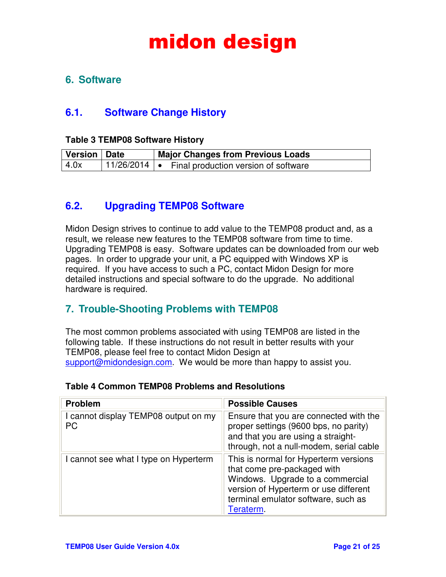### **6. Software**

### **6.1. Software Change History**

#### **Table 3 TEMP08 Software History**

| Version   Date | <b>Major Changes from Previous Loads</b>                                      |
|----------------|-------------------------------------------------------------------------------|
| 4.0x           | $\vert$ 11/26/2014 $\vert \bullet \vert$ Final production version of software |

### **6.2. Upgrading TEMP08 Software**

Midon Design strives to continue to add value to the TEMP08 product and, as a result, we release new features to the TEMP08 software from time to time. Upgrading TEMP08 is easy. Software updates can be downloaded from our web pages. In order to upgrade your unit, a PC equipped with Windows XP is required. If you have access to such a PC, contact Midon Design for more detailed instructions and special software to do the upgrade. No additional hardware is required.

### **7. Trouble-Shooting Problems with TEMP08**

The most common problems associated with using TEMP08 are listed in the following table. If these instructions do not result in better results with your TEMP08, please feel free to contact Midon Design at support@midondesign.com. We would be more than happy to assist you.

## **Table 4 Common TEMP08 Problems and Resolutions**

| <b>Problem</b>                                    | <b>Possible Causes</b>                                                                                                                                                                                |
|---------------------------------------------------|-------------------------------------------------------------------------------------------------------------------------------------------------------------------------------------------------------|
| I cannot display TEMP08 output on my<br><b>PC</b> | Ensure that you are connected with the<br>proper settings (9600 bps, no parity)<br>and that you are using a straight-<br>through, not a null-modem, serial cable                                      |
| I cannot see what I type on Hyperterm             | This is normal for Hyperterm versions<br>that come pre-packaged with<br>Windows. Upgrade to a commercial<br>version of Hyperterm or use different<br>terminal emulator software, such as<br>Teraterm. |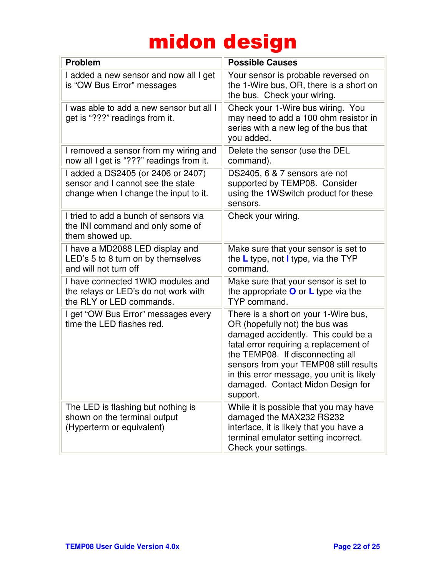| <b>Problem</b>                                                                                                   | <b>Possible Causes</b>                                                                                                                                                                                                                                                                                                              |
|------------------------------------------------------------------------------------------------------------------|-------------------------------------------------------------------------------------------------------------------------------------------------------------------------------------------------------------------------------------------------------------------------------------------------------------------------------------|
| I added a new sensor and now all I get<br>is "OW Bus Error" messages                                             | Your sensor is probable reversed on<br>the 1-Wire bus, OR, there is a short on<br>the bus. Check your wiring.                                                                                                                                                                                                                       |
| I was able to add a new sensor but all I<br>get is "???" readings from it.                                       | Check your 1-Wire bus wiring. You<br>may need to add a 100 ohm resistor in<br>series with a new leg of the bus that<br>you added.                                                                                                                                                                                                   |
| I removed a sensor from my wiring and<br>now all I get is "???" readings from it.                                | Delete the sensor (use the DEL<br>command).                                                                                                                                                                                                                                                                                         |
| I added a DS2405 (or 2406 or 2407)<br>sensor and I cannot see the state<br>change when I change the input to it. | DS2405, 6 & 7 sensors are not<br>supported by TEMP08. Consider<br>using the 1WSwitch product for these<br>sensors.                                                                                                                                                                                                                  |
| I tried to add a bunch of sensors via<br>the INI command and only some of<br>them showed up.                     | Check your wiring.                                                                                                                                                                                                                                                                                                                  |
| I have a MD2088 LED display and<br>LED's 5 to 8 turn on by themselves<br>and will not turn off                   | Make sure that your sensor is set to<br>the $L$ type, not I type, via the TYP<br>command.                                                                                                                                                                                                                                           |
| I have connected 1 WIO modules and<br>the relays or LED's do not work with<br>the RLY or LED commands.           | Make sure that your sensor is set to<br>the appropriate $\bullet$ or L type via the<br>TYP command.                                                                                                                                                                                                                                 |
| I get "OW Bus Error" messages every<br>time the LED flashes red.                                                 | There is a short on your 1-Wire bus,<br>OR (hopefully not) the bus was<br>damaged accidently. This could be a<br>fatal error requiring a replacement of<br>the TEMP08. If disconnecting all<br>sensors from your TEMP08 still results<br>in this error message, you unit is likely<br>damaged. Contact Midon Design for<br>support. |
| The LED is flashing but nothing is<br>shown on the terminal output<br>(Hyperterm or equivalent)                  | While it is possible that you may have<br>damaged the MAX232 RS232<br>interface, it is likely that you have a<br>terminal emulator setting incorrect.<br>Check your settings.                                                                                                                                                       |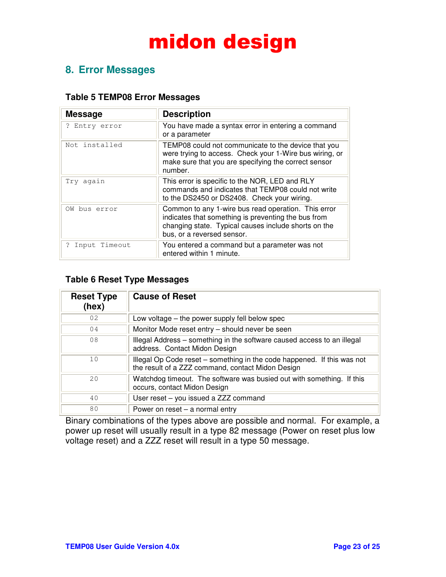### **8. Error Messages**

#### **Table 5 TEMP08 Error Messages**

| <b>Message</b> | <b>Description</b>                                                                                                                                                                               |
|----------------|--------------------------------------------------------------------------------------------------------------------------------------------------------------------------------------------------|
| ? Entry error  | You have made a syntax error in entering a command<br>or a parameter                                                                                                                             |
| Not installed  | TEMP08 could not communicate to the device that you<br>were trying to access. Check your 1-Wire bus wiring, or<br>make sure that you are specifying the correct sensor<br>number.                |
| Try again      | This error is specific to the NOR, LED and RLY<br>commands and indicates that TEMP08 could not write<br>to the DS2450 or DS2408. Check your wiring.                                              |
| OW bus error   | Common to any 1-wire bus read operation. This error<br>indicates that something is preventing the bus from<br>changing state. Typical causes include shorts on the<br>bus, or a reversed sensor. |
| Input Timeout  | You entered a command but a parameter was not<br>entered within 1 minute.                                                                                                                        |

#### **Table 6 Reset Type Messages**

| <b>Reset Type</b><br>(hex) | <b>Cause of Reset</b>                                                                                                        |
|----------------------------|------------------------------------------------------------------------------------------------------------------------------|
| 02                         | Low voltage $-$ the power supply fell below spec                                                                             |
| 04                         | Monitor Mode reset entry – should never be seen                                                                              |
| 08                         | Illegal Address - something in the software caused access to an illegal<br>address. Contact Midon Design                     |
| 10                         | Illegal Op Code reset – something in the code happened. If this was not<br>the result of a ZZZ command, contact Midon Design |
| $20 \overline{)}$          | Watchdog timeout. The software was busied out with something. If this<br>occurs, contact Midon Design                        |
| 40                         | User reset - you issued a ZZZ command                                                                                        |
| 80                         | Power on reset $-$ a normal entry                                                                                            |

Binary combinations of the types above are possible and normal. For example, a power up reset will usually result in a type 82 message (Power on reset plus low voltage reset) and a ZZZ reset will result in a type 50 message.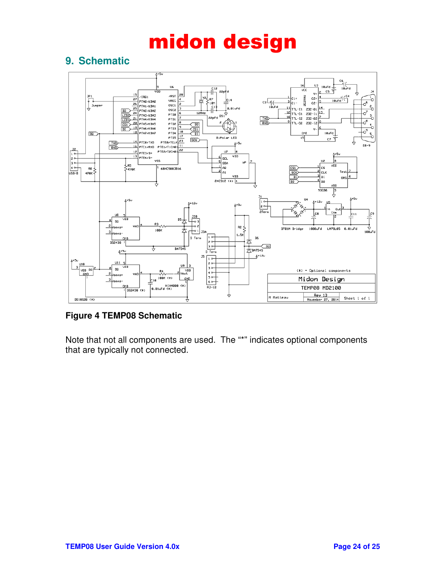## **9. Schematic**



**Figure 4 TEMP08 Schematic** 

Note that not all components are used. The "\*" indicates optional components that are typically not connected.